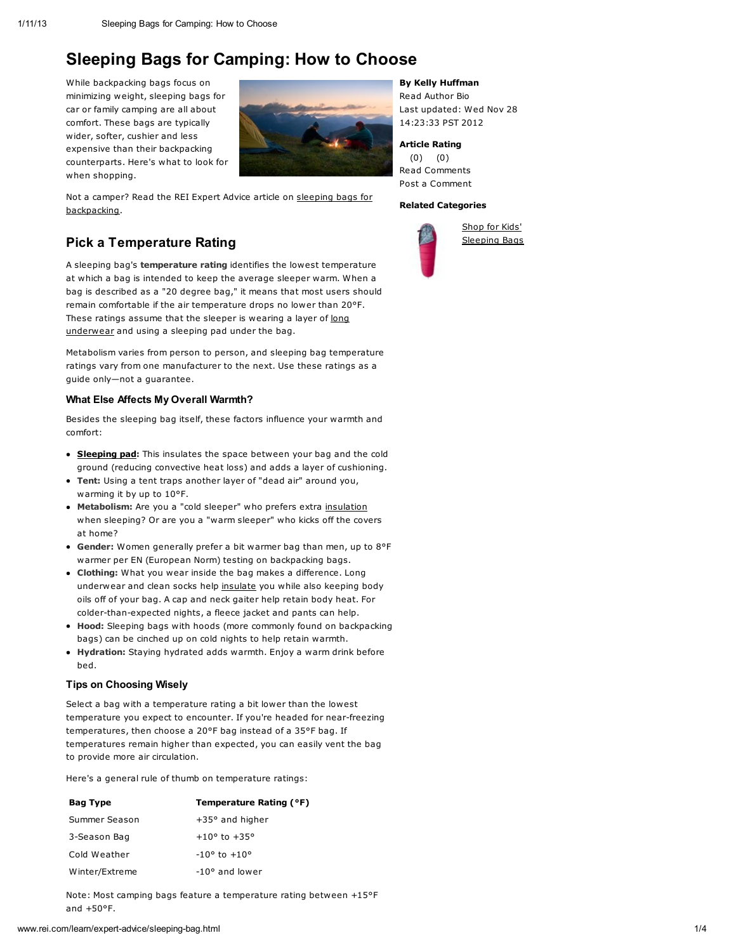# Sleeping Bags for Camping: How to Choose

While backpacking bags focus on minimizing weight, sleeping bags for car or family camping are all about comfort. These bags are typically wider, softer, cushier and less expensive than their backpacking counterparts. Here's what to look for when shopping.



Not a camper? Read the REI Expert Advice article on sleeping bags for [backpacking.](http://www.rei.com/learn/expert-advice/sleeping-bag-backpacking.html)

# Pick a Temperature Rating

A sleeping bag's temperature rating identifies the lowest temperature at which a bag is intended to keep the average sleeper warm. When a bag is described as a "20 degree bag," it means that most users should remain comfortable if the air temperature drops no lower than 20°F. These ratings assume that the sleeper is wearing a layer of long [underwear](http://www.rei.com/learn/expert-advice/sleeping-bag.html#) and using a sleeping pad under the bag.

Metabolism varies from person to person, and sleeping bag temperature ratings vary from one manufacturer to the next. Use these ratings as a guide only—not a guarantee.

### What Else Affects My Overall Warmth?

Besides the sleeping bag itself, these factors influence your warmth and comfort:

- **[Sleeping](http://www.rei.com/learn/expert-advice/sleeping-bag.html#) pad:** This insulates the space between your bag and the cold ground (reducing convective heat loss) and adds a layer of cushioning.
- Tent: Using a tent traps another layer of "dead air" around you, warming it by up to 10°F.
- Metabolism: Are you a "cold sleeper" who prefers extra [insulation](http://www.rei.com/learn/expert-advice/sleeping-bag.html#) when sleeping? Or are you a "warm sleeper" who kicks off the covers at home?
- Gender: Women generally prefer a bit warmer bag than men, up to 8°F warmer per EN [\(European](http://www.rei.com/expertadvice/articles/sleeping+bag+backpacking.html#EN_Temperature_Ratings_) Norm) testing on backpacking bags.
- **Clothing:** What you wear inside the bag makes a difference. Long underwear and clean socks help [insulate](http://www.rei.com/learn/expert-advice/sleeping-bag.html#) you while also keeping body oils off of your bag. A cap and neck gaiter help retain body heat. For colder-than-expected nights, a fleece jacket and pants can help.
- Hood: Sleeping bags with hoods (more commonly found on backpacking bags) can be cinched up on cold nights to help retain warmth.
- Hydration: Staying hydrated adds warmth. Enjoy a warm drink before bed.

### Tips on Choosing Wisely

Select a bag with a temperature rating a bit lower than the lowest temperature you expect to encounter. If you're headed for near-freezing temperatures, then choose a 20°F bag instead of a 35°F bag. If temperatures remain higher than expected, you can easily vent the bag to provide more air circulation.

Here's a general rule of thumb on temperature ratings:

| <b>Bag Type</b> | Temperature Rating (°F)        |
|-----------------|--------------------------------|
| Summer Season   | $+35^{\circ}$ and higher       |
| 3-Season Bag    | $+10^{\circ}$ to $+35^{\circ}$ |
| Cold Weather    | $-10^{\circ}$ to $+10^{\circ}$ |
| Winter/Extreme  | $-10^{\circ}$ and lower        |

Note: Most camping bags feature a temperature rating between +15°F and +50°F.

## By Kelly Huffman

Read [Author](http://www.rei.com/learn/author-bios/kelly-huffman.html) Bio Last updated: Wed Nov 28 14:23:33 PST 2012

# Article Rating

(0) (0) Read [Comments](http://www.rei.com/learn/expert-advice/sleeping-bag.html#anchor_comments) Post a [Comment](http://www.rei.com/learn/expert-advice/sleeping-bag.html#anchor_comments)

### Related Categories



Shop for Kids' [Sleeping](http://www.rei.com/category/4500655) Bags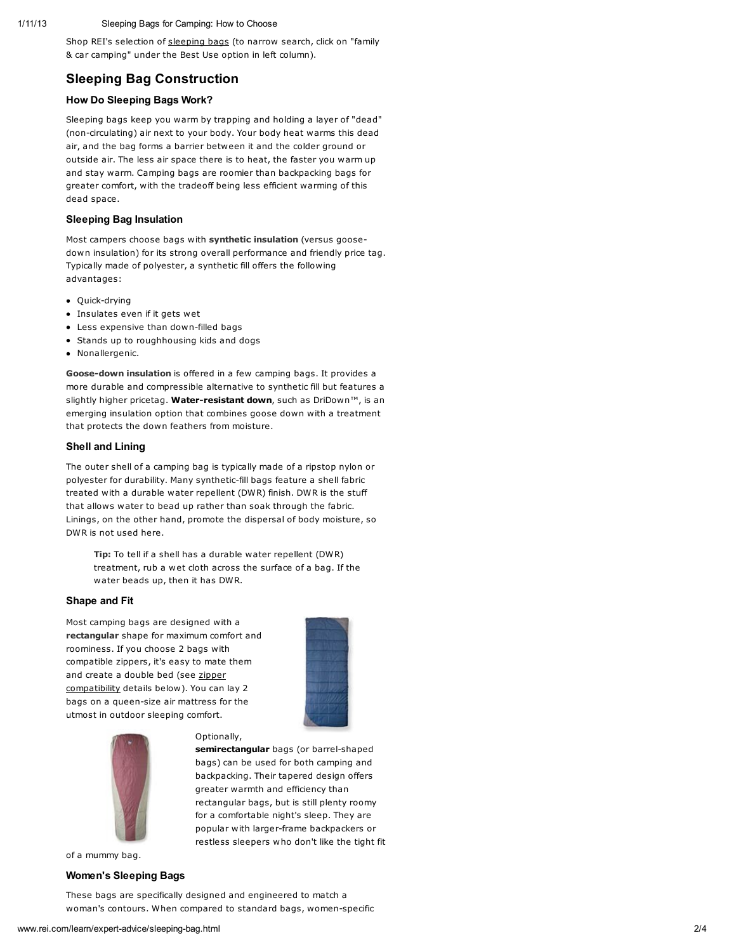#### Sleeping Bags for Camping: How to Choose

Shop REI's selection of slee[pin](http://www.rei.com/category/4500040)g bags (to narrow search, click on "family & car camping" under the Best Use option in left column).

# Sleeping Bag Construction

# How Do Sleeping Bags Work?

Sleeping bags keep you warm by trapping and holding a layer of "dead" (non-circulating) air next to your body. Your body heat warms this dead air, and the bag forms a barrier between it and the colder ground or outside air. The less air space there is to heat, the faster you warm up and stay warm. Camping bags are roomier than backpacking bags for greater comfort, with the tradeoff being less efficient warming of this dead space.

#### Sleeping Bag Insulation

Most campers choose bags with synthetic insulation (versus goosedown insulation) for its strong overall performance and friendly price tag. Typically made of polyester, a synthetic fill offers the following advantages:

- Quick-drying
- Insulates even if it gets wet
- Less expensive than down-filled bags
- Stands up to roughhousing kids and dogs
- Nonallergenic.

Goose-down insulation is offered in a few camping bags. It provides a more durable and compressible alternative to synthetic fill but features a slightly higher pricetag. Water-resistant down, such as DriDown™, is an emerging insulation option that combines goose down with a treatment that protects the down feathers from moisture.

#### Shell and Lining

The outer shell of a camping bag is typically made of a ripstop nylon or polyester for durability. Many synthetic-fill bags feature a shell fabric treated with a durable water repellent (DWR) finish. DWR is the stuff that allows water to bead up rather than soak through the fabric. Linings, on the other hand, promote the dispersal of body moisture, so DWR is not used here.

Tip: To tell if a shell has a durable water repellent (DWR) treatment, rub a wet cloth across the surface of a bag. If the water beads up, then it has DWR.

#### Shape and Fit

Most camping bags are designed with a rectangular shape for maximum comfort and roominess. If you choose 2 bags with compatible zippers, it's easy to mate them and create a double bed (see zipper [compatibility](http://www.rei.com/learn/expert-advice/sleeping-bag.html#zipper) details below). You can lay 2 bags on a queen-size air mattress for the utmost in outdoor sleeping comfort.



semirectangular bags (or barrel-shaped bags) can be used for both camping and backpacking. Their tapered design offers greater warmth and efficiency than rectangular bags, but is still plenty roomy for a comfortable night's sleep. They are popular with larger-frame backpackers or restless sleepers who don't like the tight fit



of a mummy bag.

#### Women's Sleeping Bags

These bags are specifically designed and engineered to match a woman's contours. When compared to standard bags, women-specific

Optionally,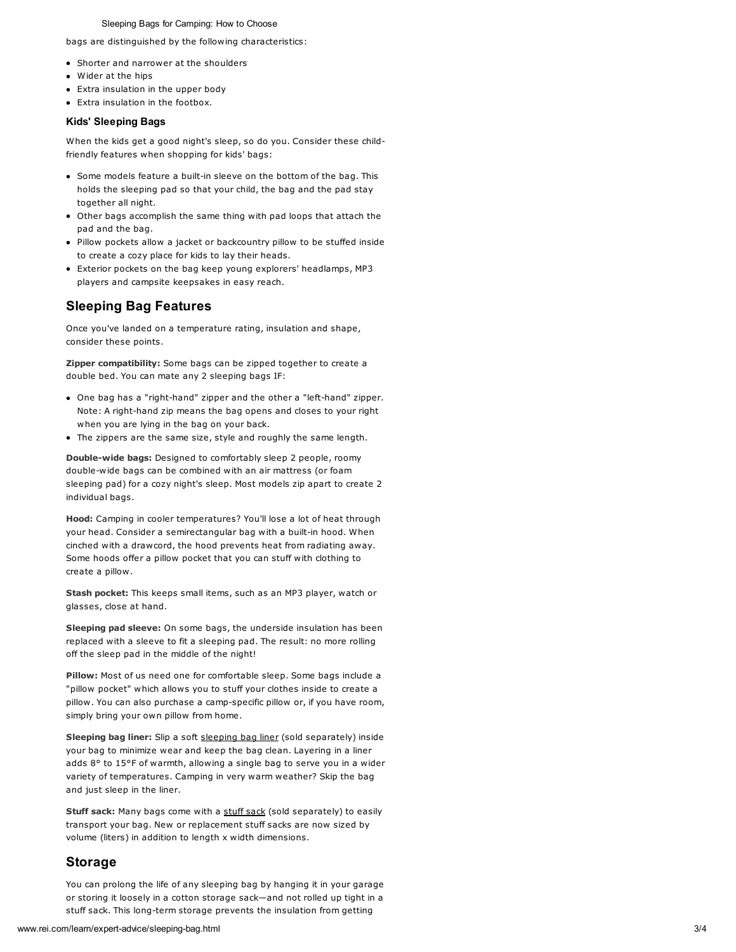#### Sleeping Bags for Camping: How to Choose

bags are distinguished by the following characteristics:

- Shorter and narrower at the shoulders
- Wider at the hips
- Extra insulation in the upper body
- Extra insulation in the footbox.

#### Kids' Sleeping Bags

When the kids get a good night's sleep, so do you. Consider these childfriendly features when shopping for kids' bags:

- Some models feature a built-in sleeve on the bottom of the bag. This holds the sleeping pad so that your child, the bag and the pad stay together all night.
- Other bags accomplish the same thing with pad loops that attach the pad and the bag.
- Pillow pockets allow a jacket or backcountry pillow to be stuffed inside to create a cozy place for kids to lay their heads.
- Exterior pockets on the bag keep young explorers' headlamps, MP3 players and campsite keepsakes in easy reach.

# Sleeping Bag Features

Once you've landed on a temperature rating, insulation and shape, consider these points.

Zipper compatibility: Some bags can be zipped together to create a double bed. You can mate any 2 sleeping bags IF:

- One bag has a "right-hand" zipper and the other a "left-hand" zipper. Note: A right-hand zip means the bag opens and closes to your right when you are lying in the bag on your back.
- The zippers are the same size, style and roughly the same length.

Double-wide bags: Designed to comfortably sleep 2 people, roomy double-wide bags can be combined with an air mattress (or foam sleeping pad) for a cozy night's sleep. Most models zip apart to create 2 individual bags.

Hood: Camping in cooler temperatures? You'll lose a lot of heat through your head. Consider a semirectangular bag with a built-in hood. When cinched with a drawcord, the hood prevents heat from radiating away. Some hoods offer a pillow pocket that you can stuff with clothing to create a pillow.

Stash pocket: This keeps small items, such as an MP3 player, watch or glasses, close at hand.

Sleeping pad sleeve: On some bags, the underside insulation has been replaced with a sleeve to fit a sleeping pad. The result: no more rolling off the sleep pad in the middle of the night!

Pillow: Most of us need one for comfortable sleep. Some bags include a "pillow pocket" which allows you to stuff your clothes inside to create a pillow. You can also purchase a camp-specific pillow or, if you have room, simply bring your own pillow from home.

Sleeping bag liner: Slip a soft [sleeping](http://www.rei.com/category/4500592) bag liner (sold separately) inside your bag to minimize wear and keep the bag clean. Layering in a liner adds 8° to 15°F of warmth, allowing a single bag to serve you in a wider variety of temperatures. Camping in very warm weather? Skip the bag and just sleep in the liner.

Stuff sack: Many bags come with a [stuff](http://www.rei.com/category/40006530) sack (sold separately) to easily transport your bag. New or replacement stuff sacks are now sized by volume (liters) in addition to length x width dimensions.

# Storage

You can prolong the life of any sleeping bag by hanging it in your garage or storing it loosely in a cotton storage sack—and not rolled up tight in a stuff sack. This long-term storage prevents the insulation from getting